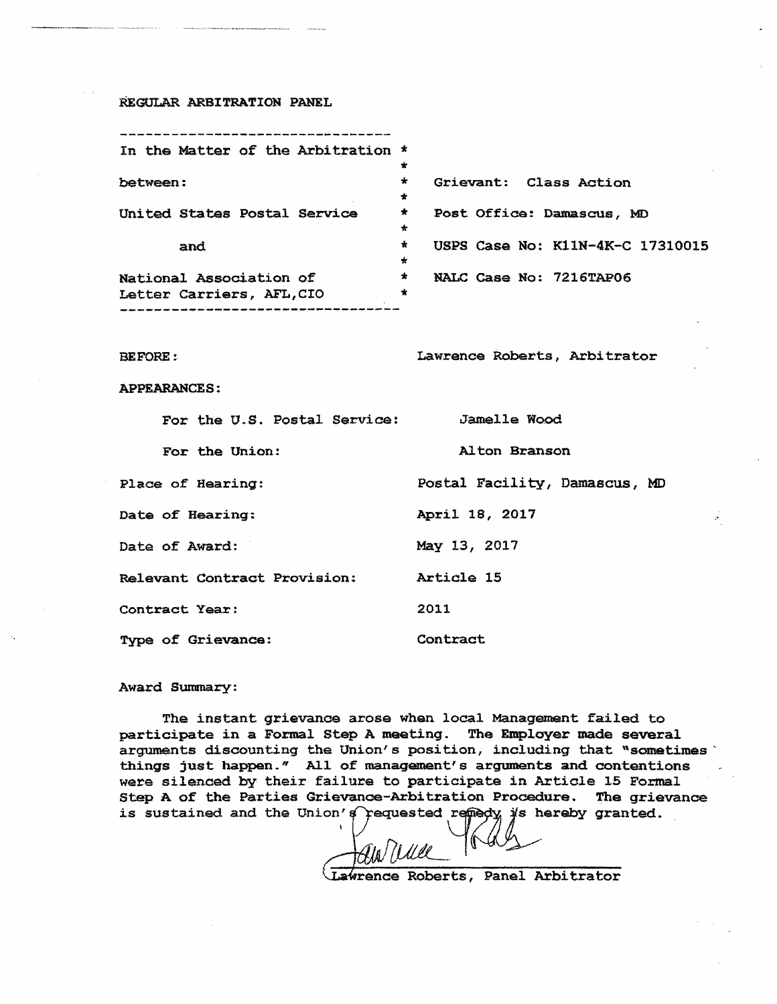## REGULAR ARBITRATION PANEL

|                           |  |     |  |  | In the Matter of the Arbitration * |         |                                  |
|---------------------------|--|-----|--|--|------------------------------------|---------|----------------------------------|
|                           |  |     |  |  |                                    | $\star$ |                                  |
| between:                  |  |     |  |  |                                    | $\star$ | Grievant: Class Action           |
|                           |  |     |  |  |                                    | $\star$ |                                  |
|                           |  |     |  |  | United States Postal Service       | $\star$ | Post Office: Damascus, MD        |
|                           |  |     |  |  |                                    | *       |                                  |
|                           |  | and |  |  |                                    | *       | USPS Case No: K11N-4K-C 17310015 |
|                           |  |     |  |  |                                    | $\star$ |                                  |
| National Association of   |  |     |  |  |                                    | $\star$ | NALC Case No: 7216TAP06          |
| Letter Carriers, AFL, CIO |  |     |  |  |                                    | ★       |                                  |
|                           |  |     |  |  |                                    |         |                                  |

BEFORE: Lawrence Roberts, Arbitrator

## APPEARANCES:

| For the U.S. Postal Service: | <b>Jamelle Wood</b>           |
|------------------------------|-------------------------------|
| For the Union:               | Alton Branson                 |
| Place of Hearing:            | Postal Facility, Damascus, MD |
| Date of Hearing:             | April 18, 2017                |
| Date of Award:               | May 13, 2017                  |
| Relevant Contract Provision: | Article 15                    |
| Contract Year:               | 2011                          |
| Type of Grievance:           | Contract                      |

## Award Summary:

The instant grievanoe arose when local Management failed to participate in a Formal Step A meeting. The Employer made several arguments discounting the Union's position, including that "sometimes' things just happen." All of management's arguments and contentions were silenced by their failure to participate in Artiole 15 Formal step A of the Parties Grievance-Arbitration Procedure. The grievance is sustained and the Union's requested remedy is hereby granted.

*fZLILtL\_.* 

Lawrence Roberts, Panel Arbitrator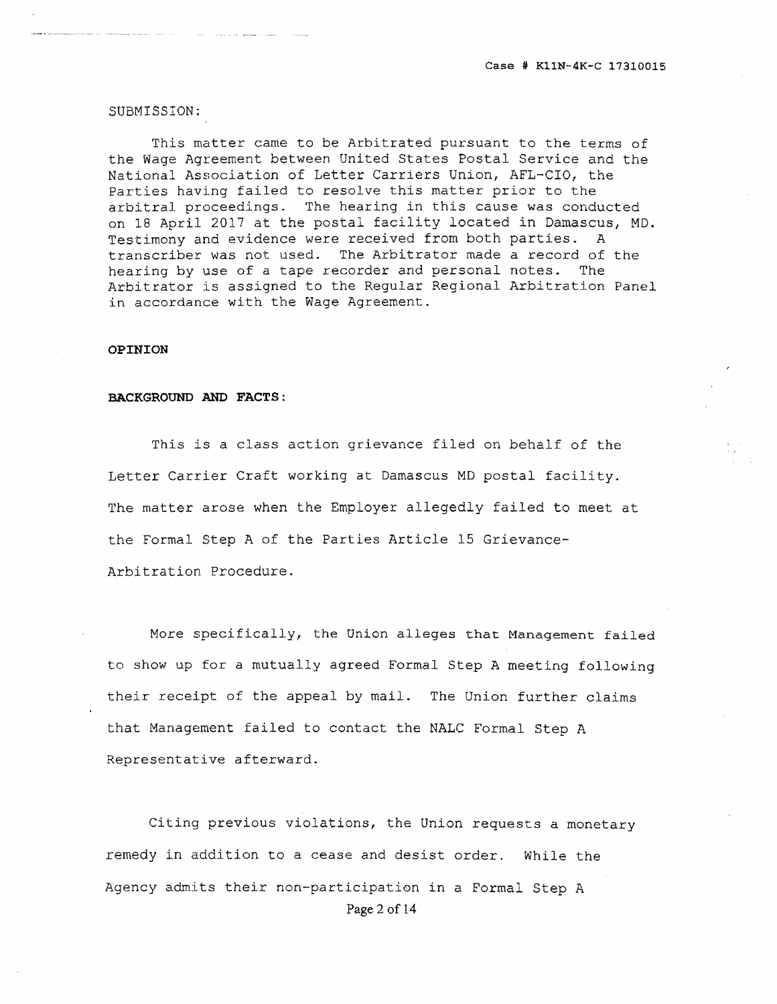SUBMISSION:

This matter came to be Arbitrated pursuant to the terms of the Wage Agreement between United States Postal Service and the National Association of Letter Carriers Union, AFL-CIO, the Parties having failed to resolve this matter prior to the arbitral proceedings. The hearing in this cause was conducted on 18 April 2017 at the postal facility located in Damascus, MD. Testimony and evidence were received from both parties. A transcriber was not used. The Arbitrator made a record of the hearing by use of a tape recorder and personal notes. The Arbitrator is assigned to the Regular Regional Arbitration Panel in accordance with the Wage Agreement.

## **OPINION**

## **BACKGROUND AND FACTS:**

This is a class action grievance filed on behalf of the Letter Carrier Craft working at Damascus MD postal facility. The matter arose when the Employer allegedly failed to meet at the Formal Step A of the Parties Article 15 Grievance-Arbitration Procedure.

More specifically, the Union alleges that Management failed to show up for a mutually agreed Formal Step A meeting following their receipt of the appeal by mail. The Union further claims that Management failed to contact the NALC Formal Step A Representative afterward.

Citing previous violations, the Union requests a monetary remedy in addition to a cease and desist order. While the Agency admits their non-participation in a Formal Step A Page 2 of 14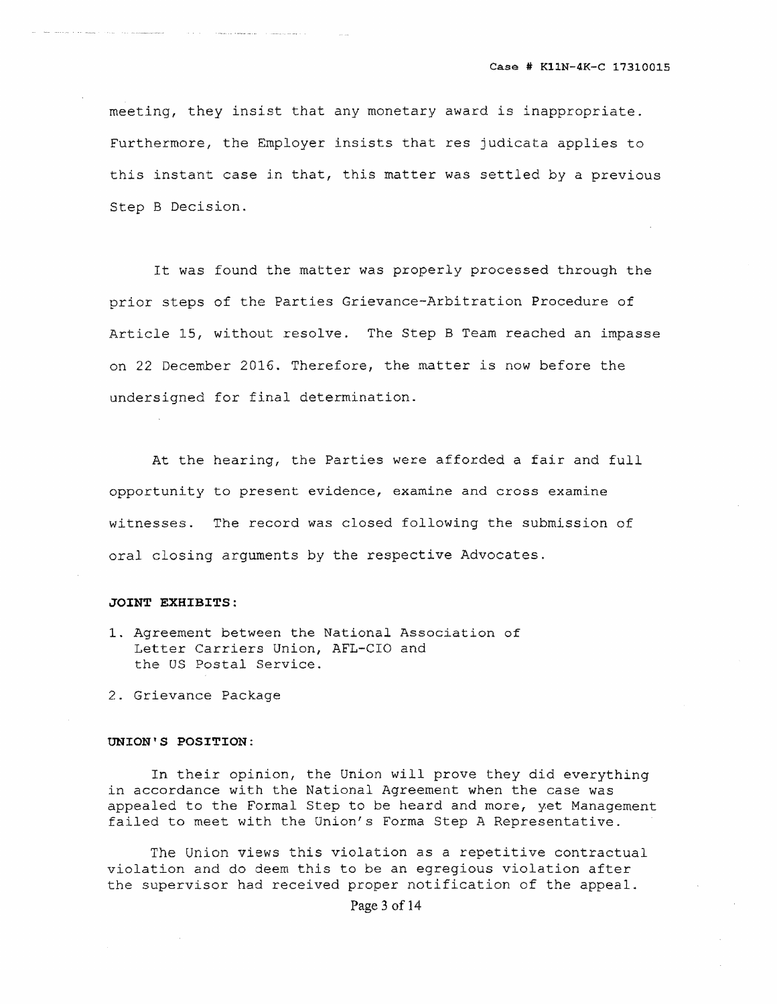meeting, they insist that any monetary award is inappropriate. Furthermore, the Employer insists that res judicata applies to this instant case in that, this matter was settled by a previous Step B Decision.

It was found the matter was properly processed through the prior steps of the Parties Grievance-Arbitration Procedure of Article 15, without resolve. The Step B Team reached an impasse on 22 December 2016. Therefore, the matter is now before the undersigned for final determination.

At the hearing, the Parties were afforded a fair and full opportunity to present evidence, examine and cross examine witnesses. The record was closed following the submission of oral closing arguments by the respective Advocates.

## **JOINT EXHIBITS:**

1. Agreement between the National Association of Letter Carriers Union, AFL-CIO and the OS Postal Service.

2. Grievance Package

## **UNION'S POSITION:**

In their opinion, the Union will prove they did everything in accordance with the National Agreement when the case was appealed to the Formal Step to be heard and more, yet Management failed to meet with the Union's Forma Step A Representative.

The Union views this violation as a repetitive contractual violation and do deem this to be an egregious violation after the supervisor had received proper notification of the appeal.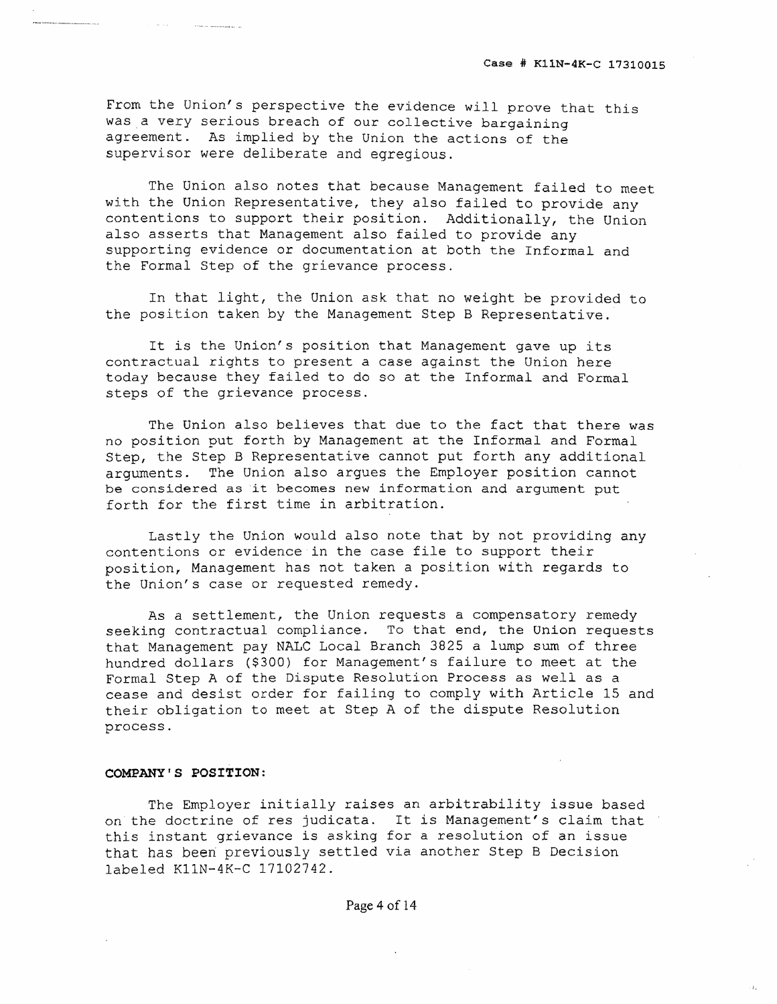From the Union's perspective the evidence will prove that this was a very serious breach of our collective bargaining agreement. As implied by the Union the actions of the supervisor were deliberate and egregious.

The Union also notes that because Management failed to meet with the Union Representative, they also failed to provide any contentions to support their position. Additionally, the Union also asserts that Management also failed to provide any supporting evidence or documentation at both the Informal and the Formal Step of the grievance process.

In that light, the Union ask that no weight be provided to the position taken by the Management Step B Representative.

It is the Union's position that Management gave up its contractual rights to present a case against the Union here today because they failed to do so at the Informal and Formal steps of the grievance process.

The Union also believes that due to the fact that there was no position put forth by Management at the Informal and Formal Step, the Step B Representative cannot put forth any additional arguments. The Union also argues the Employer position cannot be considered as it becomes new information and argument put forth for the first time in arbitration.

Lastly the Union would also note that by not providing any contentions or evidence in the case file to support their position, Management has not taken a position with regards to the Union's case or requested remedy.

As a settlement, the Union requests a compensatory remedy seeking contractual compliance. To that end, the Union requests that Management pay NALC Local Branch 3825 a lump sum of three hundred dollars (\$300) for Management's failure to meet at the Formal Step A of the Dispute Resolution Process as well as a cease and desist order for failing to comply with Article 15 and their obligation to meet at Step A of the dispute Resolution process.

#### **COMPANY'S POSITION:**

The Employer initially raises an arbitrability issue based on the doctrine of res judicata. It is Management's claim that this instant grievance is asking for a resolution of an issue that has been previously settled via another Step B Decision labeled KIIN-4K-C 17102742.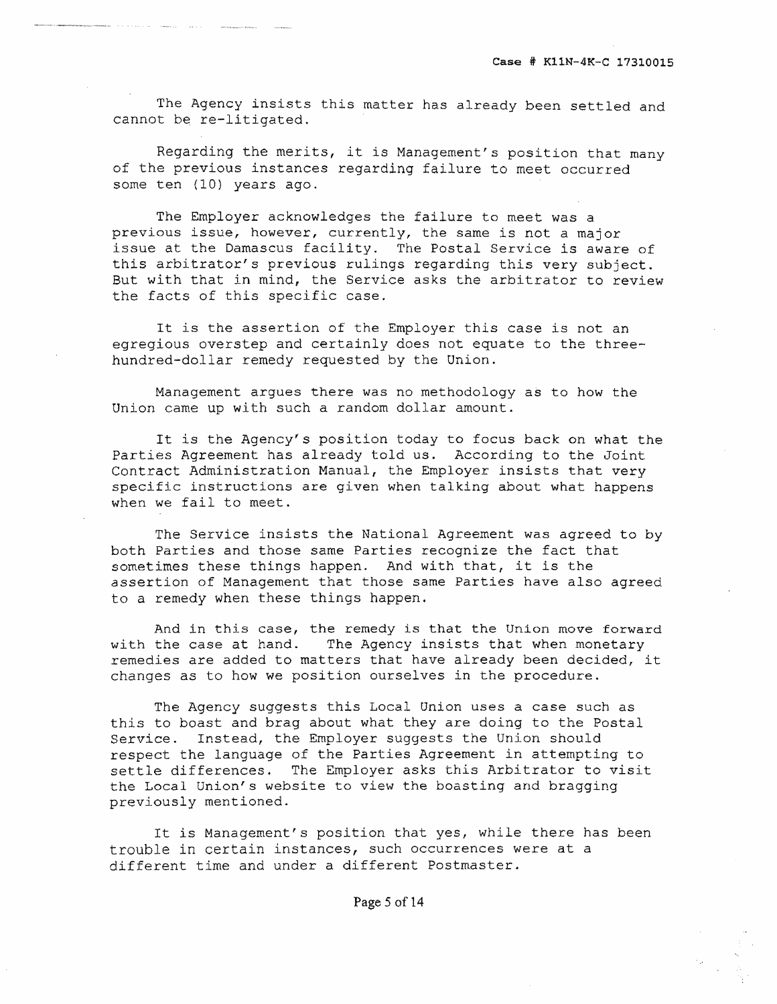The Agency insists this matter has already been settled and cannot be re-litigated.

Regarding the merits, it is Management's position that many of the previous instances regarding failure to meet occurred some ten (10) years ago.

The Employer acknowledges the failure to meet was a previous issue, however, currently, the same is not a major issue at the Damascus facility. The Postal Service is aware of this arbitrator's previous rulings regarding this very subject. But with that in mind, the Service asks the arbitrator to review the facts of this specific case.

It is the assertion of the Employer this case is not an egregious overstep and certainly does not equate to the threehundred-dollar remedy requested by the Union.

Management argues there was no methodology as to how the Union came up with such a random dollar amount.

It is the Agency's position today to focus back on what the Parties Agreement has already told us. According to the Joint Contract Administration Manual, the Employer insists that very specific instructions are given when talking about what happens when we fail to meet.

The Service insists the National Agreement was agreed to by both Parties and those same Parties recognize the fact that sometimes these things happen. And with that, it is the assertion of Management that those same Parties have also agreed to a remedy when these things happen.

And in this case, the remedy is that the Union move forward with the case at hand. The Agency insists that when monetary remedies are added to matters that have already been decided, it changes as to how we position ourselves in the procedure.

The Agency suggests this Local Onion uses a case such as this to boast and brag about what they are doing to the Postal Service. Instead, the Employer suggests the Union should respect the language of the Parties Agreement in attempting to settle differences. The Employer asks this Arbitrator to visit the Local Union's website to view the boasting and bragging previously mentioned.

It is Management's position that yes, while there has been trouble in certain instances, such occurrences were at a different time and under a different Postmaster.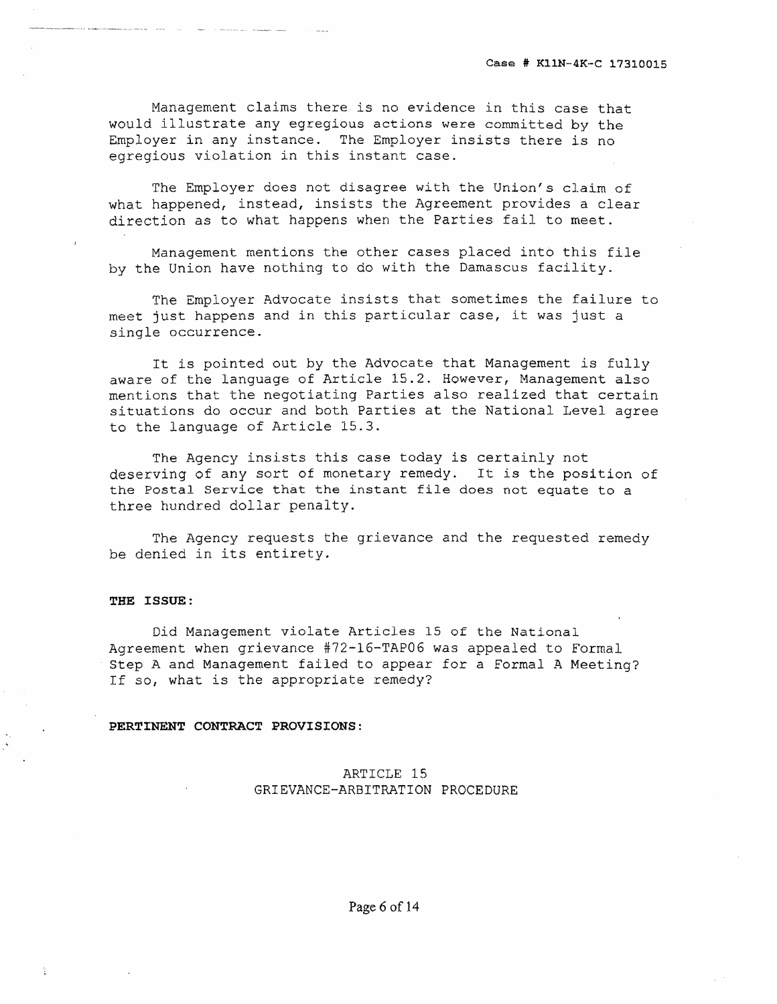Management claims there is no evidence in this case that would illustrate any egregious actions were committed by the Employer in any instance. The Employer insists there is no egregious violation in this instant case.

The Employer does not disagree with the Union's claim of what happened, instead, insists the Agreement provides a clear direction as to what happens when the Parties fail to meet.

Management mentions the other cases placed into this file by the Union have nothing to do with the Damascus facility.

The Employer Advocate insists that sometimes the failure to meet just happens and in this particular case, it was just a single occurrence.

It is pointed out by the Advocate that Management is fully aware of the language of Article 15.2. However, Management also mentions that the negotiating Parties also realized that certain situations do occur and both Parties at the National Level agree to the language of Article 15.3.

The Agency insists this case today is certainly not deserving of any sort of monetary remedy. It is the position of the Postal Service that the instant file does not equate to a three hundred dollar penalty.

The Agency requests the grievance and the requested remedy be denied in its entirety.

## **THE ISSUE:**

Did Management violate Articles 15 of the National Agreement when grievance #72-16-TAP06 was appealed to Formal Step A and Management failed to appear for a Formal A Meeting? If so, what is the appropriate remedy?

#### **PERTINENT CONTRACT PROVISIONS:**

# ARTICLE 15 GRIEVANCE-ARBITRATION PROCEDURE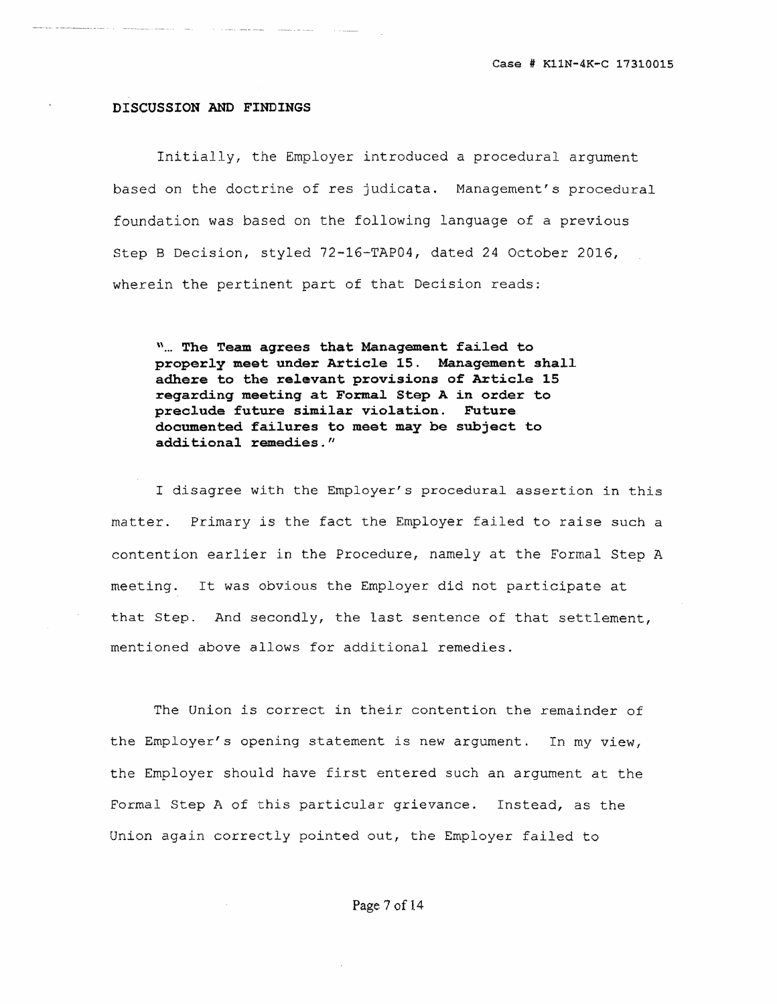#### **DISCUSSION AND FINDINGS**

Initially, the Employer introduced a procedural argument based on the doctrine of res judicata. Management's procedural foundation was based on the following language of a previous Step B Decision, styled 72-16-TAP04, dated 24 October 2016, wherein the pertinent part of that Decision reads:

\\ **The Team agrees that Management failed to properly meet under Article 15. Management shall adhere to the relevant provisions of Article 15 reqarding meeting at Formal Step A in order to preclude future similar violation. Future documented failures to meet may be subject to additional remedies."** 

I disagree with the Employer's procedural assertion in this matter. Primary is the fact the Employer failed to raise such a contention earlier in the Procedure, namely at the Formal Step A meeting. It was obvious the Employer did not participate at that Step. And secondly, the last sentence of that settlement, mentioned above allows for additional remedies.

The Union is correct in their contention the remainder of the Employer's opening statement is new argument. In my view, the Employer should have first entered such an argument at the Formal Step A of this particular grievance. Instead, as the Union again correctly pointed out, the Employer failed to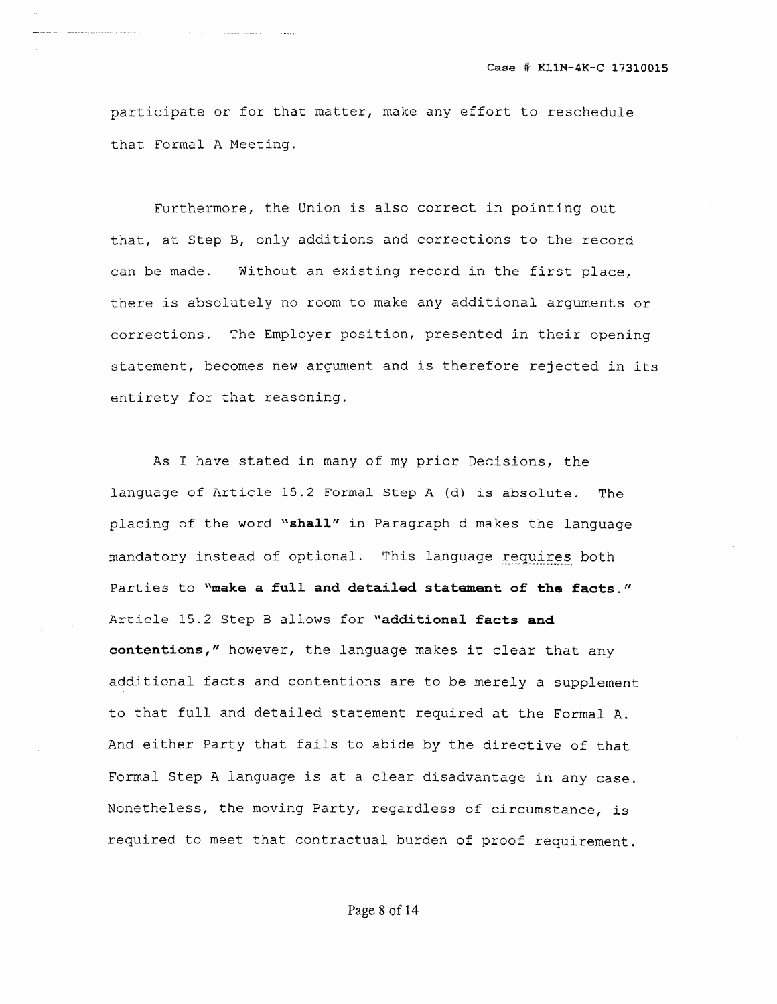participate or for that matter, make any effort to reschedule that Formal A Meeting.

Furthermore, the Union is also correct in pointing out that, at Step B, only additions and corrections to the record can be made. Without an existing record in the first place, there is absolutely no room to make any additional arguments or corrections. The Employer position, presented in their opening statement, becomes new argument and is therefore rejected in its entirety for that reasoning.

As I have stated in many of my prior Decisions, the language of Article 15.2 Formal Step A {d) is absolute. The placing of the word **"shall"** in Paragraph d makes the language mandatory instead of optional. This language requires both Parties to **"make a full and detailed statement of the facts."**  Article 15.2 Step B allows for **"additional facts and oontentions,"** however, the language makes it clear that any additional facts and contentions are to be merely a supplement to that full and detailed statement required at the Formal A. And either Party that fails to abide by the directive of that Formal Step A language is at a clear disadvantage in any case. Nonetheless, the moving Party, regardless of circumstance, is required to meet that contractual burden of proof requirement.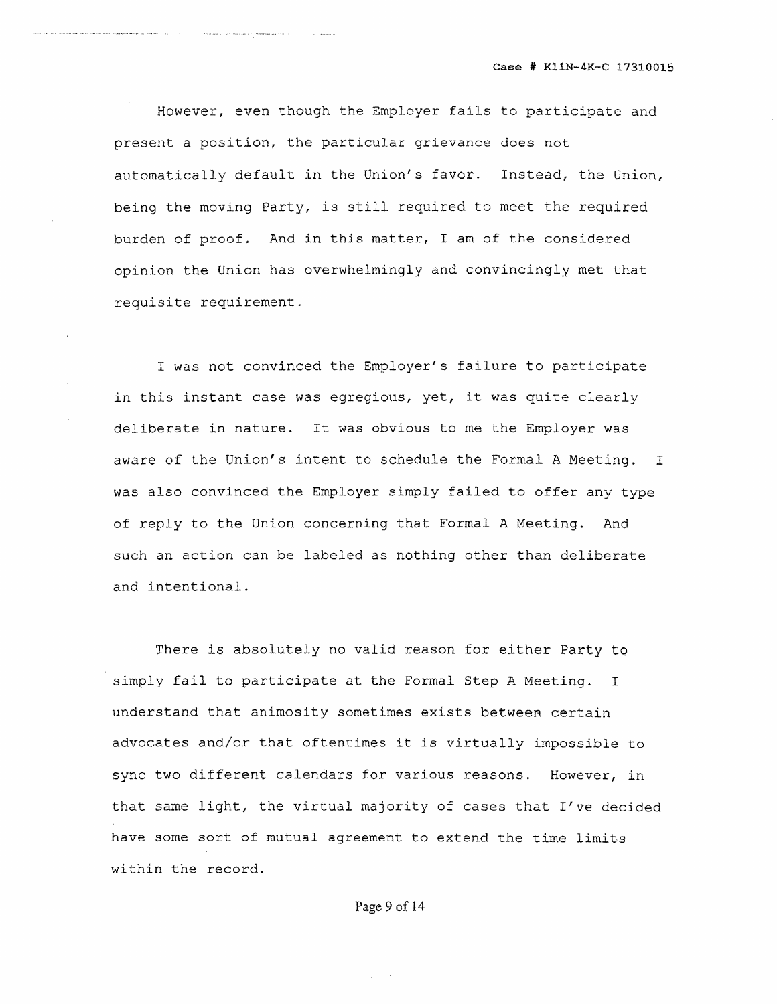However, even though the Employer fails to participate and present a position, the particular grievance does not automatically default in the Union's favor. Instead, the Union, being the moving Party, is still required to meet the required burden of proof. And in this matter, I am of the considered opinion the Union has overwhelmingly and convincingly met that requisite requirement.

I was not convinced the Employer's failure to participate in this instant case was egregious, yet, it was quite clearly deliberate in nature. It was obvious to me the Employer was aware of the Union's intent to schedule the Formal A Meeting. I was also convinced the Employer simply failed to offer any type of reply to the Union concerning that Formal A Meeting. And such an action can be labeled as nothing other than deliberate and intentional.

There is absolutely no valid reason for either Party to simply fail to participate at the Formal Step A Meeting. I understand that animosity sometimes exists between certain advocates and/or that oftentimes it is virtually impossible to sync two different calendars for various reasons. However, in that same light, the virtual majority of cases that I've decided have some sort of mutual agreement to extend the time limits within the record.

## Page 9 of 14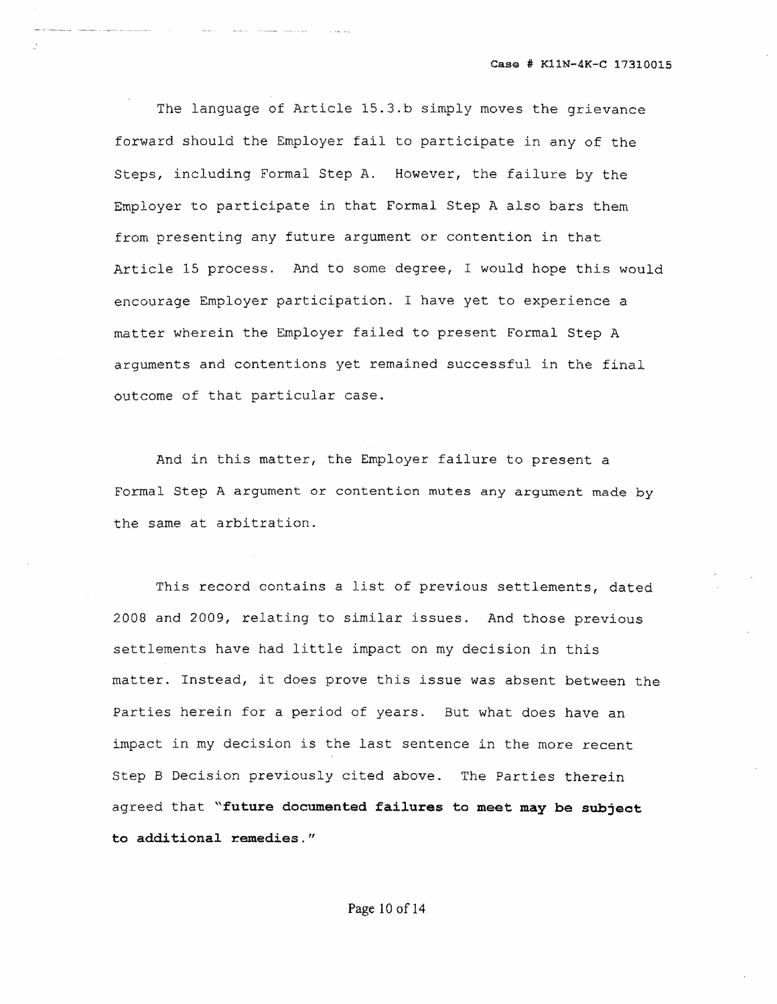Case # KllN-4K-C 17310015

The language of Article 15.3.b simply moves the grievance forward should the Employer fail to participate in any of the Steps, including Formal Step A. However, the failure by the Employer to participate in that Formal Step A also bars them from presenting any future argument or contention in that Article 15 process. And to some degree, I would hope this would encourage Employer participation. I have yet to experience a matter wherein the Employer failed to present Formal Step A arguments and contentions yet remained successful in the final outcome of that particular case.

And in this matter, the Employer failure to present a Formal Step A argument or contention mutes any argument made by the same at arbitration.

This record contains a list of previous settlements, dated 2008 and 2009, relating to similar issues. And those previous settlements have had little impact on my decision in this matter. Instead, it does prove this issue was absent between the Parties herein for a period of years. But what does have an impact in my decision is the last sentence in the more recent Step B Decision previously cited above. The Parties therein agreed that **"future documented failures to meet may be subject to additional remedies."**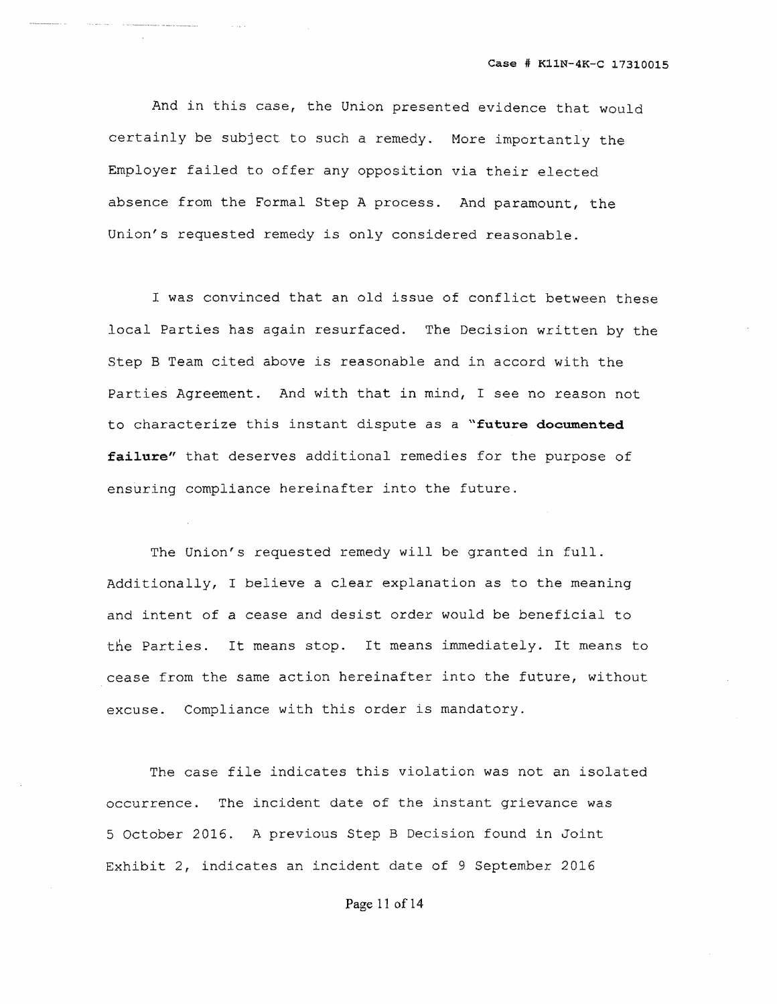And in this case, the Union presented evidence that would certainly be subject. to such a remedy. More importantly the Employer failed to offer any opposition via their elected absence from the Formal Step A process. And paramount, the Union's requested remedy is only considered reasonable.

 $\sim 1000$  km s  $^{-1}$ 

nes e electronomiquan

I was convinced that an old issue of conflict between these local Parties has again resurfaced. The Decision written by the Step B Team cited above is reasonable and in accord with the Parties Agreement. And with that in mind, I see no reason not to characterize this instant dispute as a **"future documented failure"** that deserves additional remedies for the purpose of ensuring compliance hereinafter into the future.

The Union's requested remedy will be granted in full. Additionally, I believe a clear explanation as to the meaning and intent of a cease and desist order would be beneficial to the Parties. It means stop. It means immediately. It means to cease from the same action hereinafter into the future, without excuse. Compliance with this order is mandatory.

The case file indicates this violation was not an isolated occurrence. The incident date of the instant grievance was 5 October 2016. A previous Step B Decision found in Joint Exhibit 2, indicates an incident date of 9 September 2016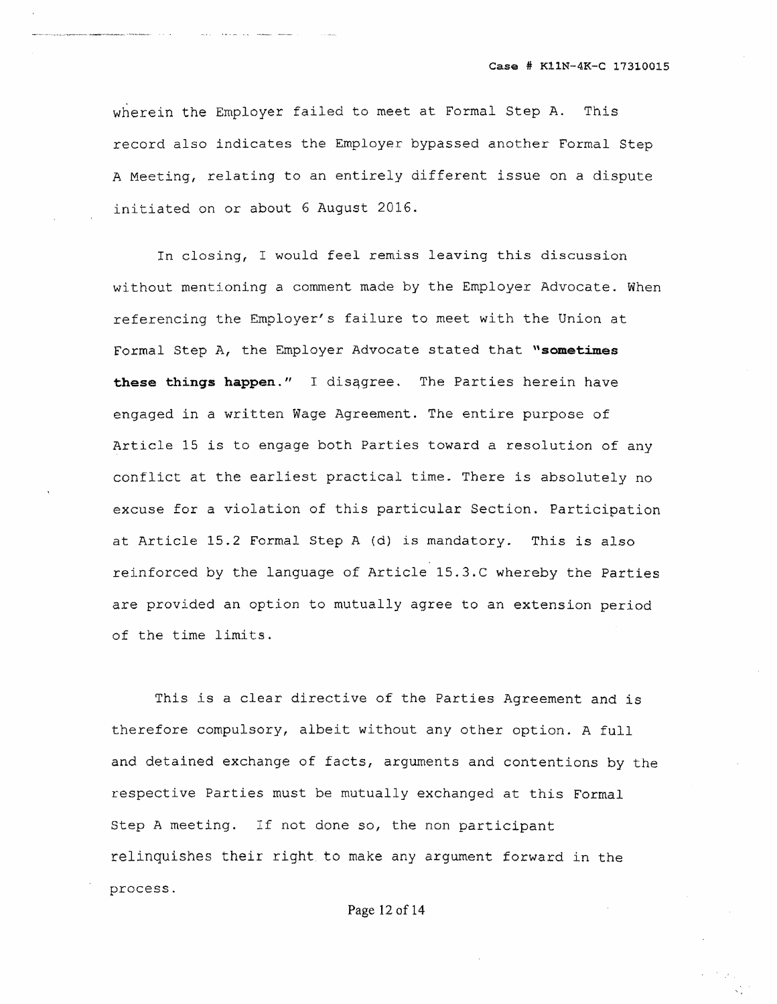wherein the Employer failed to meet at Formal Step A. This record also indicates the Employer bypassed another Formal Step A Meeting, relating to an entirely different issue on a dispute initiated on or about 6 August 2016.

In closing, I would feel remiss leaving this discussion without mentioning a comment made by the Employer Advocate. When referencing the Employer's failure to meet with the Union at Formal Step A, the Employer Advocate stated that "sometimes **these th:inqs happen."** I disqgree. The Parties herein have engaged in a written Wage Agreement. The entire purpose of Article 15 is to engage both Parties toward a resolution of any conflict at the earliest practical time. There is absolutely no excuse for a violation of this particular Section. Participation at Article 15.2 Formal Step A (d) is mandatory. This is also reinforced by the language of Article lS.3.C whereby the Parties are provided an option to mutually agree to an extension period of the time limits.

This is a clear directive of the Parties Agreement and is therefore compulsory, albeit without any other option. A full and detained exchange of facts, arguments and contentions by the respective Parties must be mutually exchanged at this Formal step A meeting. If not done so, the non participant relinquishes their right to make any argument forward in the process.

Page 12 of 14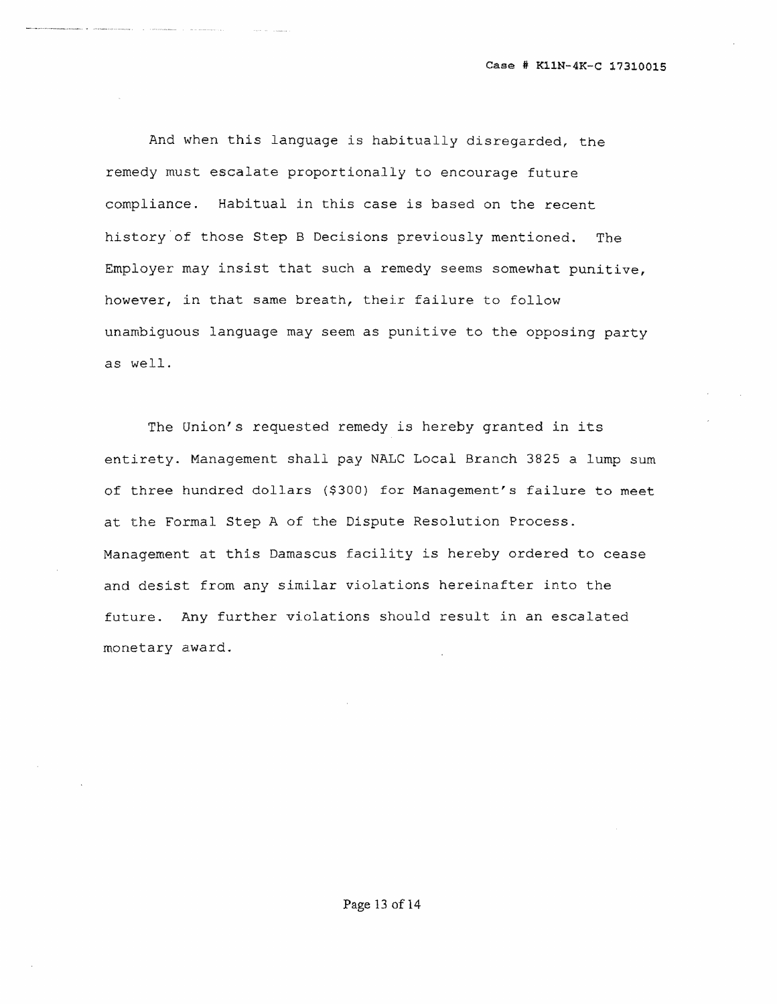And when this language is habitually disregarded, the remedy must escalate proportionally to encourage future compliance. Habitual in this case is based on the recent history'of those Step B Decisions previously mentioned. The Employer may insist that such a remedy seems somewhat punitive, however, in that same breath, their failure to follow unambiguous language may seem as punitive to the opposing party as well.

The Union's requested remedy is hereby granted in its entirety. Management shall pay NALC Local Branch 3825 a lump sum of three hundred dollars (\$300) for Management's failure to meet at the Formal Step A of the Dispute Resolution Process. Management at this Damascus facility is hereby ordered to cease and desist from any similar violations hereinafter into the future. Any further violations should result in an escalated monetary award.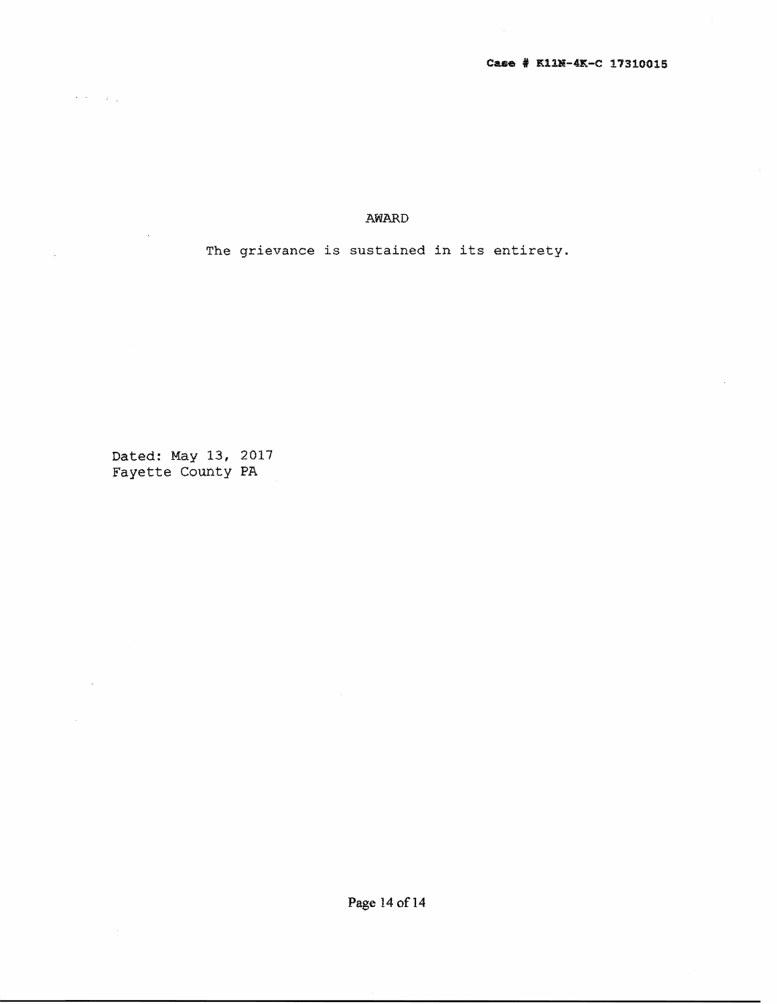AWARD

The grievance is sustained in its entirety.

Dated: May 13, 2017 Fayette county PA

 $\hat{\mathcal{A}}$  ,  $\hat{\mathcal{A}}$  ,  $\hat{\mathcal{A}}$  ,  $\hat{\mathcal{A}}$ 

 $\bar{\bar{z}}$